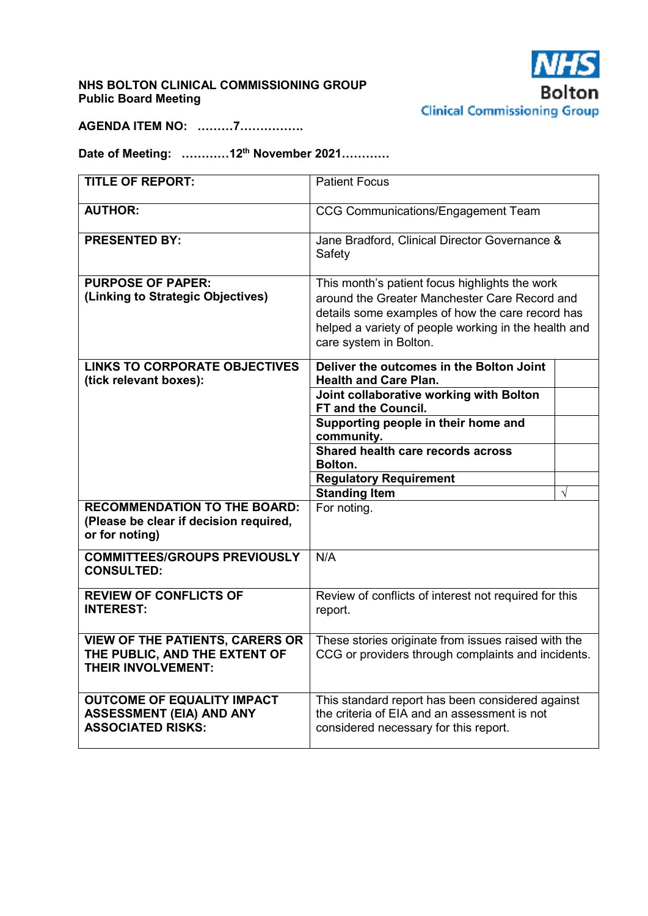# **NHS BOLTON CLINICAL COMMISSIONING GROUP Public Board Meeting**



**AGENDA ITEM NO: ………7…………….** 

# **Date of Meeting: …………12th November 2021…………**

| <b>TITLE OF REPORT:</b>                                                                              | <b>Patient Focus</b>                                                                                                                                                                                                                  |           |
|------------------------------------------------------------------------------------------------------|---------------------------------------------------------------------------------------------------------------------------------------------------------------------------------------------------------------------------------------|-----------|
| <b>AUTHOR:</b>                                                                                       | <b>CCG Communications/Engagement Team</b>                                                                                                                                                                                             |           |
| <b>PRESENTED BY:</b>                                                                                 | Jane Bradford, Clinical Director Governance &<br>Safety                                                                                                                                                                               |           |
| <b>PURPOSE OF PAPER:</b><br>(Linking to Strategic Objectives)                                        | This month's patient focus highlights the work<br>around the Greater Manchester Care Record and<br>details some examples of how the care record has<br>helped a variety of people working in the health and<br>care system in Bolton. |           |
| <b>LINKS TO CORPORATE OBJECTIVES</b><br>(tick relevant boxes):                                       | Deliver the outcomes in the Bolton Joint<br><b>Health and Care Plan.</b>                                                                                                                                                              |           |
|                                                                                                      | Joint collaborative working with Bolton<br><b>FT and the Council.</b>                                                                                                                                                                 |           |
|                                                                                                      | Supporting people in their home and<br>community.                                                                                                                                                                                     |           |
|                                                                                                      | Shared health care records across<br>Bolton.                                                                                                                                                                                          |           |
|                                                                                                      | <b>Regulatory Requirement</b>                                                                                                                                                                                                         |           |
| <b>RECOMMENDATION TO THE BOARD:</b>                                                                  | <b>Standing Item</b><br>For noting.                                                                                                                                                                                                   | $\sqrt{}$ |
| (Please be clear if decision required,<br>or for noting)                                             |                                                                                                                                                                                                                                       |           |
| <b>COMMITTEES/GROUPS PREVIOUSLY</b><br><b>CONSULTED:</b>                                             | N/A                                                                                                                                                                                                                                   |           |
| <b>REVIEW OF CONFLICTS OF</b><br><b>INTEREST:</b>                                                    | Review of conflicts of interest not required for this<br>report.                                                                                                                                                                      |           |
| <b>VIEW OF THE PATIENTS, CARERS OR</b><br>THE PUBLIC, AND THE EXTENT OF<br><b>THEIR INVOLVEMENT:</b> | These stories originate from issues raised with the<br>CCG or providers through complaints and incidents.                                                                                                                             |           |
| <b>OUTCOME OF EQUALITY IMPACT</b><br><b>ASSESSMENT (EIA) AND ANY</b><br><b>ASSOCIATED RISKS:</b>     | This standard report has been considered against<br>the criteria of EIA and an assessment is not<br>considered necessary for this report.                                                                                             |           |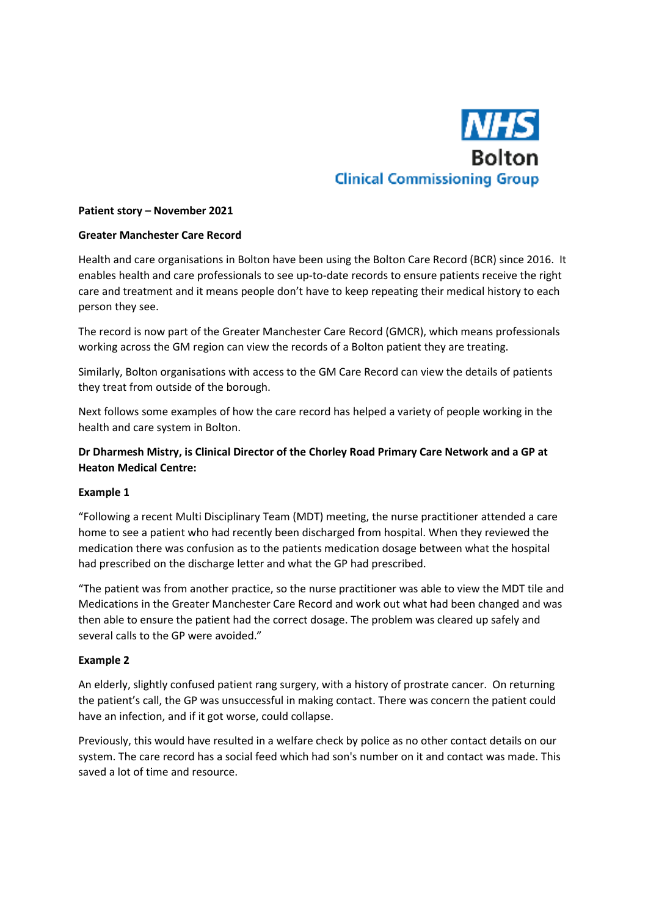

#### **Patient story – November 2021**

#### **Greater Manchester Care Record**

Health and care organisations in Bolton have been using the Bolton Care Record (BCR) since 2016. It enables health and care professionals to see up-to-date records to ensure patients receive the right care and treatment and it means people don't have to keep repeating their medical history to each person they see.

The record is now part of the Greater Manchester Care Record (GMCR), which means professionals working across the GM region can view the records of a Bolton patient they are treating.

Similarly, Bolton organisations with access to the GM Care Record can view the details of patients they treat from outside of the borough.

Next follows some examples of how the care record has helped a variety of people working in the health and care system in Bolton.

## **Dr Dharmesh Mistry, is Clinical Director of the Chorley Road Primary Care Network and a GP at Heaton Medical Centre:**

## **Example 1**

"Following a recent Multi Disciplinary Team (MDT) meeting, the nurse practitioner attended a care home to see a patient who had recently been discharged from hospital. When they reviewed the medication there was confusion as to the patients medication dosage between what the hospital had prescribed on the discharge letter and what the GP had prescribed.

"The patient was from another practice, so the nurse practitioner was able to view the MDT tile and Medications in the Greater Manchester Care Record and work out what had been changed and was then able to ensure the patient had the correct dosage. The problem was cleared up safely and several calls to the GP were avoided."

## **Example 2**

An elderly, slightly confused patient rang surgery, with a history of prostrate cancer. On returning the patient's call, the GP was unsuccessful in making contact. There was concern the patient could have an infection, and if it got worse, could collapse.

Previously, this would have resulted in a welfare check by police as no other contact details on our system. The care record has a social feed which had son's number on it and contact was made. This saved a lot of time and resource.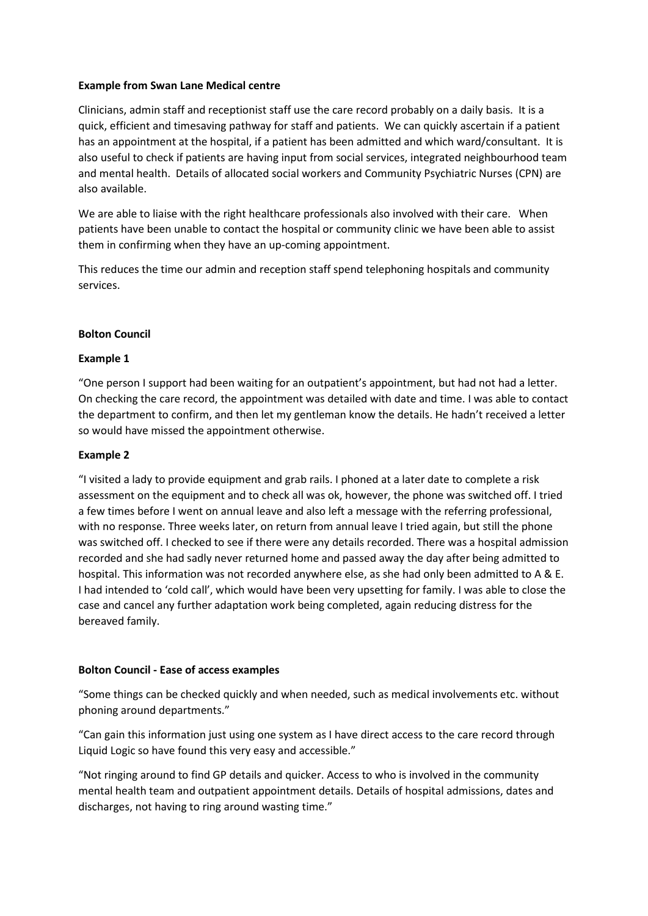## **Example from Swan Lane Medical centre**

Clinicians, admin staff and receptionist staff use the care record probably on a daily basis. It is a quick, efficient and timesaving pathway for staff and patients. We can quickly ascertain if a patient has an appointment at the hospital, if a patient has been admitted and which ward/consultant. It is also useful to check if patients are having input from social services, integrated neighbourhood team and mental health. Details of allocated social workers and Community Psychiatric Nurses (CPN) are also available.

We are able to liaise with the right healthcare professionals also involved with their care. When patients have been unable to contact the hospital or community clinic we have been able to assist them in confirming when they have an up-coming appointment.

This reduces the time our admin and reception staff spend telephoning hospitals and community services.

## **Bolton Council**

## **Example 1**

"One person I support had been waiting for an outpatient's appointment, but had not had a letter. On checking the care record, the appointment was detailed with date and time. I was able to contact the department to confirm, and then let my gentleman know the details. He hadn't received a letter so would have missed the appointment otherwise.

## **Example 2**

"I visited a lady to provide equipment and grab rails. I phoned at a later date to complete a risk assessment on the equipment and to check all was ok, however, the phone was switched off. I tried a few times before I went on annual leave and also left a message with the referring professional, with no response. Three weeks later, on return from annual leave I tried again, but still the phone was switched off. I checked to see if there were any details recorded. There was a hospital admission recorded and she had sadly never returned home and passed away the day after being admitted to hospital. This information was not recorded anywhere else, as she had only been admitted to A & E. I had intended to 'cold call', which would have been very upsetting for family. I was able to close the case and cancel any further adaptation work being completed, again reducing distress for the bereaved family.

## **Bolton Council - Ease of access examples**

"Some things can be checked quickly and when needed, such as medical involvements etc. without phoning around departments."

"Can gain this information just using one system as I have direct access to the care record through Liquid Logic so have found this very easy and accessible."

"Not ringing around to find GP details and quicker. Access to who is involved in the community mental health team and outpatient appointment details. Details of hospital admissions, dates and discharges, not having to ring around wasting time."